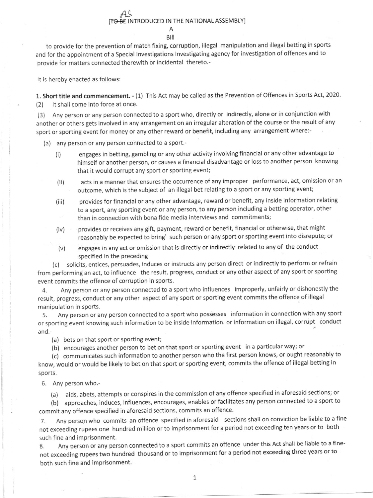## As [<del>TO BE</del> INTRODUCED IN THE NATIONAL ASSEMBLY] A

Bill

to provide for the prevention of match fixing, corruption, illegal manipulation and illegal betting in sports and for the appointment of a Special lnvestigations lnvestigating agency for investigation of offences and to provide for matters connected therewith or incidental thereto.-

It is hereby enacted as follows

1. Short title and commencement. - (1) This Act may be called as the Prevention of Offences in Sports Act, 2020. (2) lt shall come into force at once.

(3) Any person or any person connected to a sport who, directly or indirectly, alone or in conjunction with another or others gets involved in any arrangement on an irregular alteration of the course or the result of any sport or sporting event for money or any other reward or benefit, including any arrangement where:-

(a) any person or any person connected to a sport.-

- (i) engages in betting, gambling or any other activity involving financial or any other advantage to himself or another person, or causes a financial disadvantage or loss to another person knowing that it would corrupt any sport or sporting event;
- (ii) acts in a manner that ensures the occurrence of any improper performance, act, omission or an outcome, which is the subject of an illegal bet relating to a sport or any sporting event;
- (iii) provides for financial or any other advantage, reward or benefit, any inside information relating to a sport, any sporting event or any person, to any person including a betting operator, other than in connection with bona fide media interviews and commitments;
- (iv) provides or receives any gift, payment, reward or benefit, financial or otherwise, that might reasonably be expected to bring' such person or any sport or sporting event into disrepute; or
- (v) engages in any act or omission that is directly or indirectly related to any of the conduct specified in the preceding

(c) solicits, entices, persuades, induces or instructs any person direct or indirectly to perform or refrain from performing an act, to influence the result, progress, conduct or any other aspect of any sport or sporting event commits the offence of corruption in sports.

4. Any person or any person connected to a sport who influences improperly, unfairly or dishonestly the result, progress, conduct or any other aspect of any sport or sporting event commits the offence of illegal manipulation in sports.

5. Any person or any person connected to a sport who possesses information in connection with any sport or sporting event knowing such information to be inside information. or information on illegal, corrupt conduct and.-

(a) bets on that sport or sporting event;

(b) encourages another person to beton that sport or sporting event in a particularway; or

(c) communicates such information to another person who the first person knows, or ought reasonably to know, would or would be likely to bet on that sport or sporting event, commits the offence of illegal betting in sports.

6. Any person who.-

(a) aids, abets, attempts or conspires in the commission of any offence specified in aforesaid sections; or

(b) approaches, induces, influences, encourages, enables or facilitates any person connected to a sport to commit any offence specified in aforesaid sections, commits an offence.

7. Any person who commits an offence specified in aforesaid sections shall on conviction be liable to a fine not exceeding rupees one hundred million or to imprisonment for a period not exceeding ten years or to both such fine and imprisonment.

8. Any person or any person connected to a sport commits an offence under this Act shall be liable to a finenot exceeding rupees two hundred thousand or to imprisonment for a period not exceeding three years or to both such fine and imprisonment.